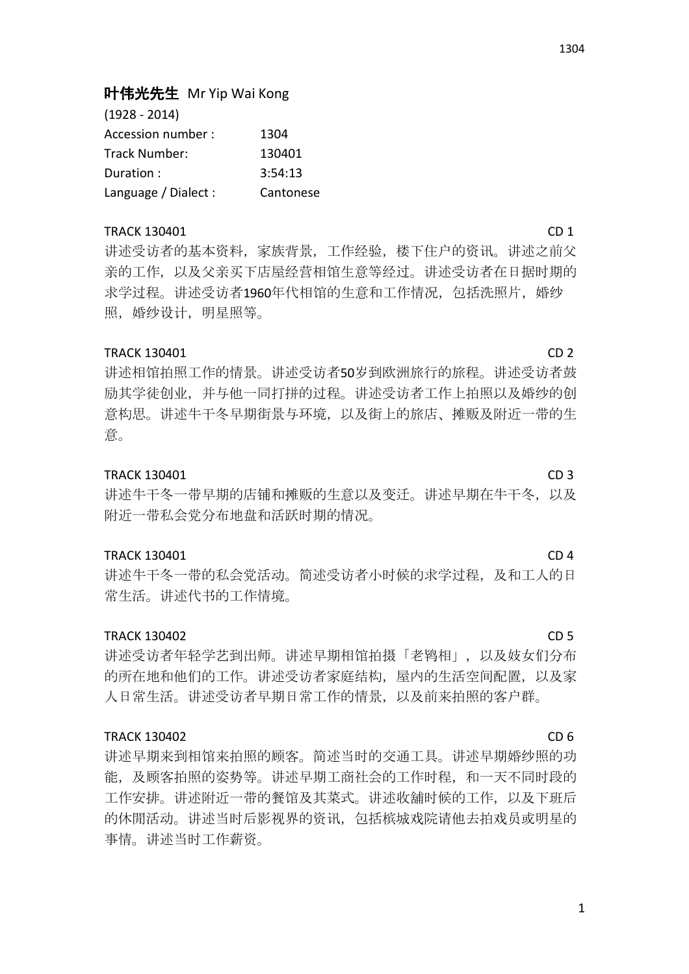# 叶伟光先生 Mr Yip Wai Kong

| $(1928 - 2014)$      |           |
|----------------------|-----------|
| Accession number :   | 1304      |
| Track Number:        | 130401    |
| Duration :           | 3:54:13   |
| Language / Dialect : | Cantonese |

#### TRACK 130401 CD 1

讲述受访者的基本资料,家族背景,工作经验,楼下住户的资讯。讲述之前父 亲的工作,以及父亲买下店屋经营相馆生意等经过。讲述受访者在日据时期的 求学过程。讲述受访者1960年代相馆的生意和工作情况,包括洗照片,婚纱 照, 婚纱设计, 明星照等。

### TRACK 130401 CD 2

讲述相馆拍照工作的情景。讲述受访者50岁到欧洲旅行的旅程。讲述受访者鼓 励其学徒创业,并与他一同打拼的过程。讲述受访者工作上拍照以及婚纱的创 意构思。讲述牛干冬早期街景与环境,以及街上的旅店、摊贩及附近一带的生 意。

### TRACK 130401 CD 3

讲述牛干冬一带早期的店铺和摊贩的生意以及变迁。讲述早期在牛干冬,以及 附近一带私会党分布地盘和活跃时期的情况。

#### TRACK 130401 CD 4

讲述牛干冬一带的私会党活动。简述受访者小时候的求学过程,及和工人的日 常生活。讲述代书的工作情境。

#### TRACK 130402 CD 5

讲述受访者年轻学艺到出师。讲述早期相馆拍摄「老鸨相」,以及妓女们分布 的所在地和他们的工作。讲述受访者家庭结构,屋内的生活空间配置,以及家 人日常生活。讲述受访者早期日常工作的情景,以及前来拍照的客户群。

#### TRACK 130402 CD 6

讲述早期来到相馆来拍照的顾客。简述当时的交通工具。讲述早期婚纱照的功 能,及顾客拍照的姿势等。讲述早期工商社会的工作时程,和一天不同时段的 工作安排。讲述附近一带的餐馆及其菜式。讲述收舖时候的工作,以及下班后 的休閒活动。讲述当时后影视界的资讯,包括槟城戏院请他去拍戏员或明星的 事情。讲述当时工作薪资。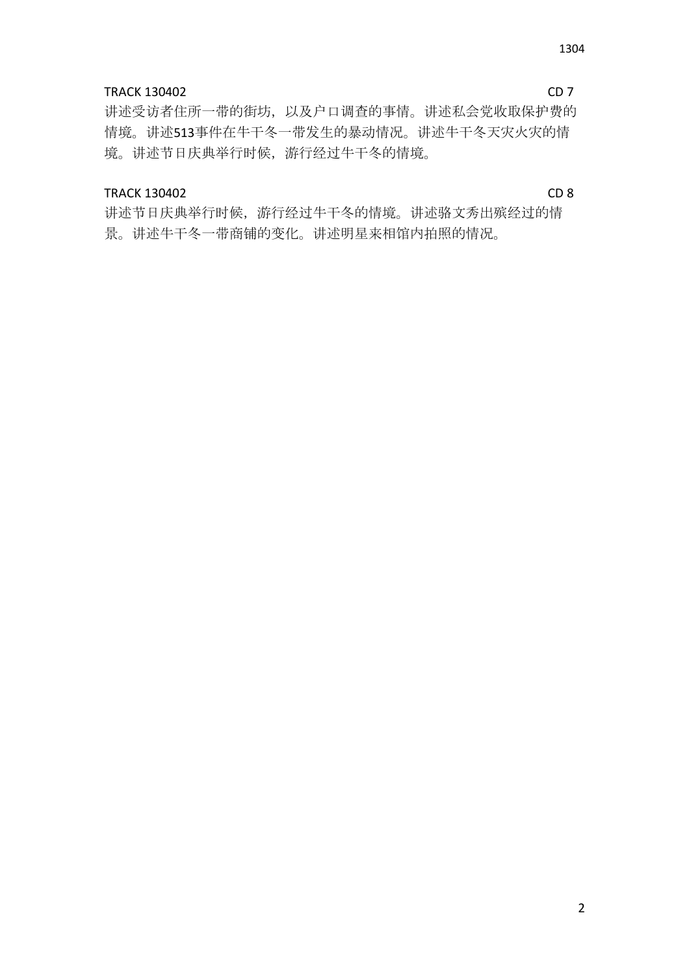### TRACK 130402 CD 7

讲述受访者住所一带的街坊,以及户口调查的事情。讲述私会党收取保护费的 情境。讲述513事件在牛干冬一带发生的暴动情况。讲述牛干冬天灾火灾的情 境。讲述节日庆典举行时候,游行经过牛干冬的情境。

#### TRACK 130402 CD 8

讲述节日庆典举行时候,游行经过牛干冬的情境。讲述骆文秀出殡经过的情 景。讲述牛干冬一带商铺的变化。讲述明星来相馆内拍照的情况。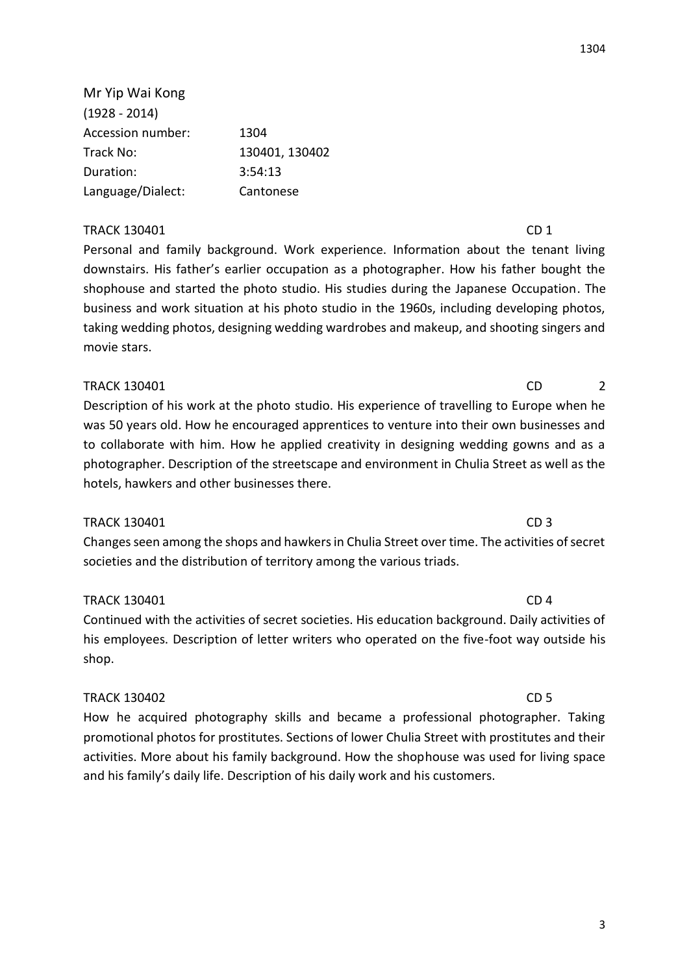Mr Yip Wai Kong (1928 - 2014) Accession number: 1304 Track No: 130401, 130402 Duration: 3:54:13

Language/Dialect: Cantonese

### TRACK 130401 CD 1

Personal and family background. Work experience. Information about the tenant living downstairs. His father's earlier occupation as a photographer. How his father bought the shophouse and started the photo studio. His studies during the Japanese Occupation. The business and work situation at his photo studio in the 1960s, including developing photos, taking wedding photos, designing wedding wardrobes and makeup, and shooting singers and movie stars.

### TRACK 130401 2

Description of his work at the photo studio. His experience of travelling to Europe when he was 50 years old. How he encouraged apprentices to venture into their own businesses and to collaborate with him. How he applied creativity in designing wedding gowns and as a photographer. Description of the streetscape and environment in Chulia Street as well as the hotels, hawkers and other businesses there.

### TRACK 130401 CD 3

Changes seen among the shops and hawkers in Chulia Street over time. The activities of secret societies and the distribution of territory among the various triads.

### TRACK 130401 CD 4

Continued with the activities of secret societies. His education background. Daily activities of his employees. Description of letter writers who operated on the five-foot way outside his shop.

### TRACK 130402 CD 5

How he acquired photography skills and became a professional photographer. Taking promotional photos for prostitutes. Sections of lower Chulia Street with prostitutes and their activities. More about his family background. How the shophouse was used for living space and his family's daily life. Description of his daily work and his customers.